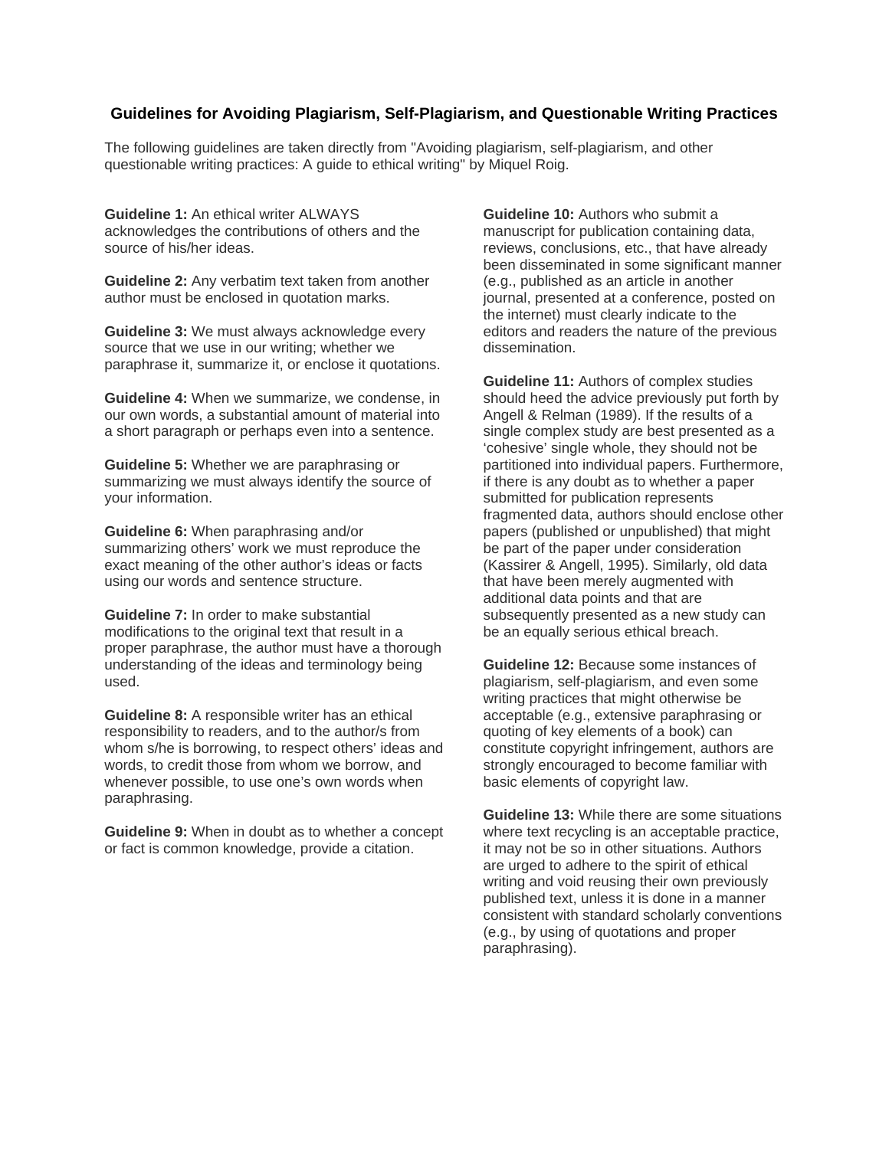## **Guidelines for Avoiding Plagiarism, Self-Plagiarism, and Questionable Writing Practices**

The following guidelines are taken directly from "Avoiding plagiarism, self-plagiarism, and other questionable writing practices: A guide to ethical writing" by Miquel Roig.

**Guideline 1:** An ethical writer ALWAYS acknowledges the contributions of others and the source of his/her ideas.

**Guideline 2:** Any verbatim text taken from another author must be enclosed in quotation marks.

**Guideline 3:** We must always acknowledge every source that we use in our writing; whether we paraphrase it, summarize it, or enclose it quotations.

**Guideline 4:** When we summarize, we condense, in our own words, a substantial amount of material into a short paragraph or perhaps even into a sentence.

**Guideline 5:** Whether we are paraphrasing or summarizing we must always identify the source of your information.

**Guideline 6:** When paraphrasing and/or summarizing others' work we must reproduce the exact meaning of the other author's ideas or facts using our words and sentence structure.

**Guideline 7:** In order to make substantial modifications to the original text that result in a proper paraphrase, the author must have a thorough understanding of the ideas and terminology being used.

**Guideline 8:** A responsible writer has an ethical responsibility to readers, and to the author/s from whom s/he is borrowing, to respect others' ideas and words, to credit those from whom we borrow, and whenever possible, to use one's own words when paraphrasing.

**Guideline 9:** When in doubt as to whether a concept or fact is common knowledge, provide a citation.

**Guideline 10:** Authors who submit a manuscript for publication containing data, reviews, conclusions, etc., that have already been disseminated in some significant manner (e.g., published as an article in another journal, presented at a conference, posted on the internet) must clearly indicate to the editors and readers the nature of the previous dissemination.

**Guideline 11:** Authors of complex studies should heed the advice previously put forth by Angell & Relman (1989). If the results of a single complex study are best presented as a 'cohesive' single whole, they should not be partitioned into individual papers. Furthermore, if there is any doubt as to whether a paper submitted for publication represents fragmented data, authors should enclose other papers (published or unpublished) that might be part of the paper under consideration (Kassirer & Angell, 1995). Similarly, old data that have been merely augmented with additional data points and that are subsequently presented as a new study can be an equally serious ethical breach.

**Guideline 12:** Because some instances of plagiarism, self-plagiarism, and even some writing practices that might otherwise be acceptable (e.g., extensive paraphrasing or quoting of key elements of a book) can constitute copyright infringement, authors are strongly encouraged to become familiar with basic elements of copyright law.

**Guideline 13:** While there are some situations where text recycling is an acceptable practice, it may not be so in other situations. Authors are urged to adhere to the spirit of ethical writing and void reusing their own previously published text, unless it is done in a manner consistent with standard scholarly conventions (e.g., by using of quotations and proper paraphrasing).